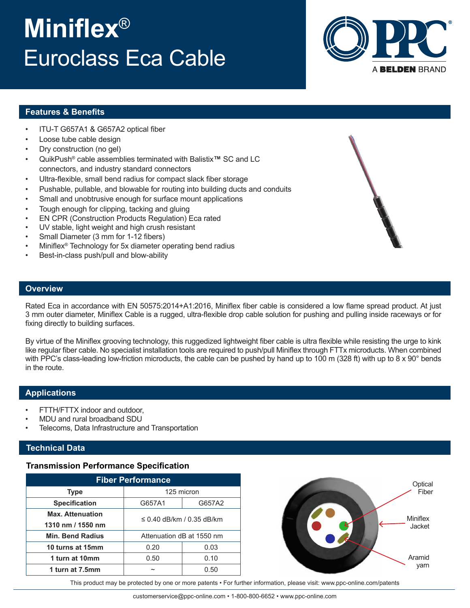# **Miniflex**® Euroclass Eca Cable



### **Features & Benefits**

- ITU-T G657A1 & G657A2 optical fiber
- Loose tube cable design
- Dry construction (no gel)
- QuikPush® cable assemblies terminated with Balistix**™** SC and LC connectors, and industry standard connectors
- Ultra-flexible, small bend radius for compact slack fiber storage
- Pushable, pullable, and blowable for routing into building ducts and conduits
- Small and unobtrusive enough for surface mount applications
- Tough enough for clipping, tacking and gluing
- EN CPR (Construction Products Regulation) Eca rated
- UV stable, light weight and high crush resistant
- Small Diameter (3 mm for 1-12 fibers)
- Miniflex<sup>®</sup> Technology for 5x diameter operating bend radius
- Best-in-class push/pull and blow-ability

#### **Overview**

Rated Eca in accordance with EN 50575:2014+A1:2016, Miniflex fiber cable is considered a low flame spread product. At just 3 mm outer diameter, Miniflex Cable is a rugged, ultra-flexible drop cable solution for pushing and pulling inside raceways or for fixing directly to building surfaces.

By virtue of the Miniflex grooving technology, this ruggedized lightweight fiber cable is ultra flexible while resisting the urge to kink like regular fiber cable. No specialist installation tools are required to push/pull Miniflex through FTTx microducts. When combined with PPC's class-leading low-friction microducts, the cable can be pushed by hand up to 100 m (328 ft) with up to 8 x 90° bends in the route.

#### **Applications**

- FTTH/FTTX indoor and outdoor,
- MDU and rural broadband SDU
- Telecoms, Data Infrastructure and Transportation

#### **Technical Data**

#### **Transmission Performance Specification**

| <b>Fiber Performance</b>                     |                           |        |  |  |
|----------------------------------------------|---------------------------|--------|--|--|
| <b>Type</b>                                  | 125 micron                |        |  |  |
| <b>Specification</b>                         | G657A1                    | G657A2 |  |  |
| <b>Max. Attenuation</b><br>1310 nm / 1550 nm | ≤ 0.40 dB/km / 0.35 dB/km |        |  |  |
| <b>Min. Bend Radius</b>                      | Attenuation dB at 1550 nm |        |  |  |
| 10 turns at 15mm                             | 0.20                      | 0.03   |  |  |
| 1 turn at 10mm                               | 0.50                      | 0.10   |  |  |
| 1 turn at 7.5mm                              |                           | 0.50   |  |  |



This product may be protected by one or more patents • For further information, please visit: www.ppc-online.com/patents